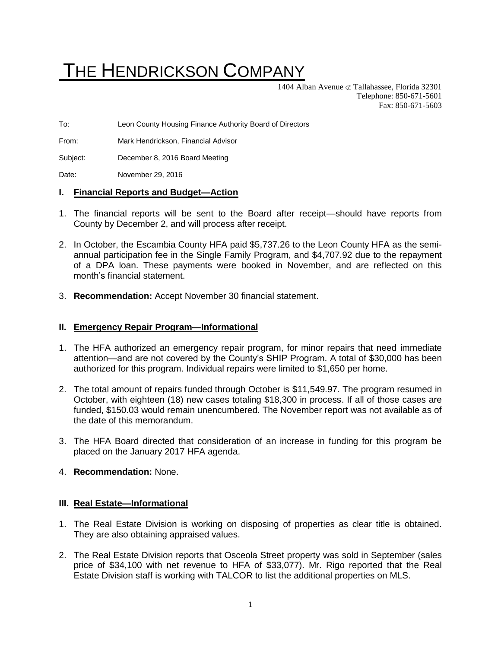# THE HENDRICKSON COMPANY

1404 Alban Avenue  $\sigma$  Tallahassee, Florida 32301 Telephone: 850-671-5601 Fax: 850-671-5603

To: Leon County Housing Finance Authority Board of Directors

From: Mark Hendrickson, Financial Advisor

Subject: December 8, 2016 Board Meeting

Date: November 29, 2016

#### **I. Financial Reports and Budget—Action**

- 1. The financial reports will be sent to the Board after receipt—should have reports from County by December 2, and will process after receipt.
- 2. In October, the Escambia County HFA paid \$5,737.26 to the Leon County HFA as the semiannual participation fee in the Single Family Program, and \$4,707.92 due to the repayment of a DPA loan. These payments were booked in November, and are reflected on this month's financial statement.
- 3. **Recommendation:** Accept November 30 financial statement.

#### **II. Emergency Repair Program—Informational**

- 1. The HFA authorized an emergency repair program, for minor repairs that need immediate attention—and are not covered by the County's SHIP Program. A total of \$30,000 has been authorized for this program. Individual repairs were limited to \$1,650 per home.
- 2. The total amount of repairs funded through October is \$11,549.97. The program resumed in October, with eighteen (18) new cases totaling \$18,300 in process. If all of those cases are funded, \$150.03 would remain unencumbered. The November report was not available as of the date of this memorandum.
- 3. The HFA Board directed that consideration of an increase in funding for this program be placed on the January 2017 HFA agenda.
- 4. **Recommendation:** None.

#### **III. Real Estate—Informational**

- 1. The Real Estate Division is working on disposing of properties as clear title is obtained. They are also obtaining appraised values.
- 2. The Real Estate Division reports that Osceola Street property was sold in September (sales price of \$34,100 with net revenue to HFA of \$33,077). Mr. Rigo reported that the Real Estate Division staff is working with TALCOR to list the additional properties on MLS.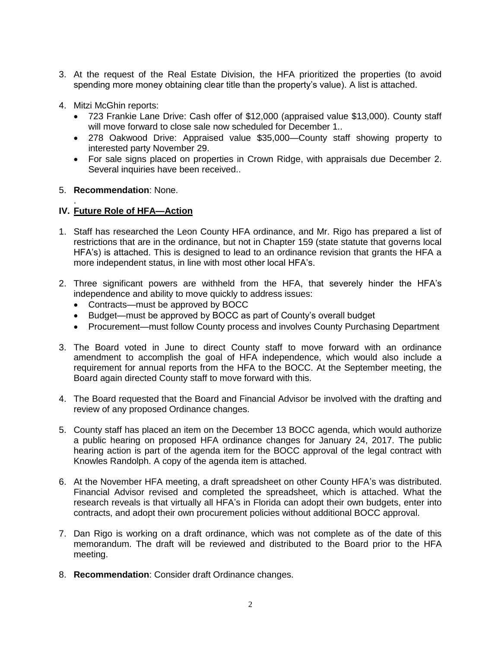- 3. At the request of the Real Estate Division, the HFA prioritized the properties (to avoid spending more money obtaining clear title than the property's value). A list is attached.
- 4. Mitzi McGhin reports:
	- 723 Frankie Lane Drive: Cash offer of \$12,000 (appraised value \$13,000). County staff will move forward to close sale now scheduled for December 1..
	- 278 Oakwood Drive: Appraised value \$35,000—County staff showing property to interested party November 29.
	- For sale signs placed on properties in Crown Ridge, with appraisals due December 2. Several inquiries have been received..

#### 5. **Recommendation**: None.

.

### **IV. Future Role of HFA—Action**

- 1. Staff has researched the Leon County HFA ordinance, and Mr. Rigo has prepared a list of restrictions that are in the ordinance, but not in Chapter 159 (state statute that governs local HFA's) is attached. This is designed to lead to an ordinance revision that grants the HFA a more independent status, in line with most other local HFA's.
- 2. Three significant powers are withheld from the HFA, that severely hinder the HFA's independence and ability to move quickly to address issues:
	- Contracts—must be approved by BOCC
	- Budget—must be approved by BOCC as part of County's overall budget
	- Procurement—must follow County process and involves County Purchasing Department
- 3. The Board voted in June to direct County staff to move forward with an ordinance amendment to accomplish the goal of HFA independence, which would also include a requirement for annual reports from the HFA to the BOCC. At the September meeting, the Board again directed County staff to move forward with this.
- 4. The Board requested that the Board and Financial Advisor be involved with the drafting and review of any proposed Ordinance changes.
- 5. County staff has placed an item on the December 13 BOCC agenda, which would authorize a public hearing on proposed HFA ordinance changes for January 24, 2017. The public hearing action is part of the agenda item for the BOCC approval of the legal contract with Knowles Randolph. A copy of the agenda item is attached.
- 6. At the November HFA meeting, a draft spreadsheet on other County HFA's was distributed. Financial Advisor revised and completed the spreadsheet, which is attached. What the research reveals is that virtually all HFA's in Florida can adopt their own budgets, enter into contracts, and adopt their own procurement policies without additional BOCC approval.
- 7. Dan Rigo is working on a draft ordinance, which was not complete as of the date of this memorandum. The draft will be reviewed and distributed to the Board prior to the HFA meeting.
- 8. **Recommendation**: Consider draft Ordinance changes.